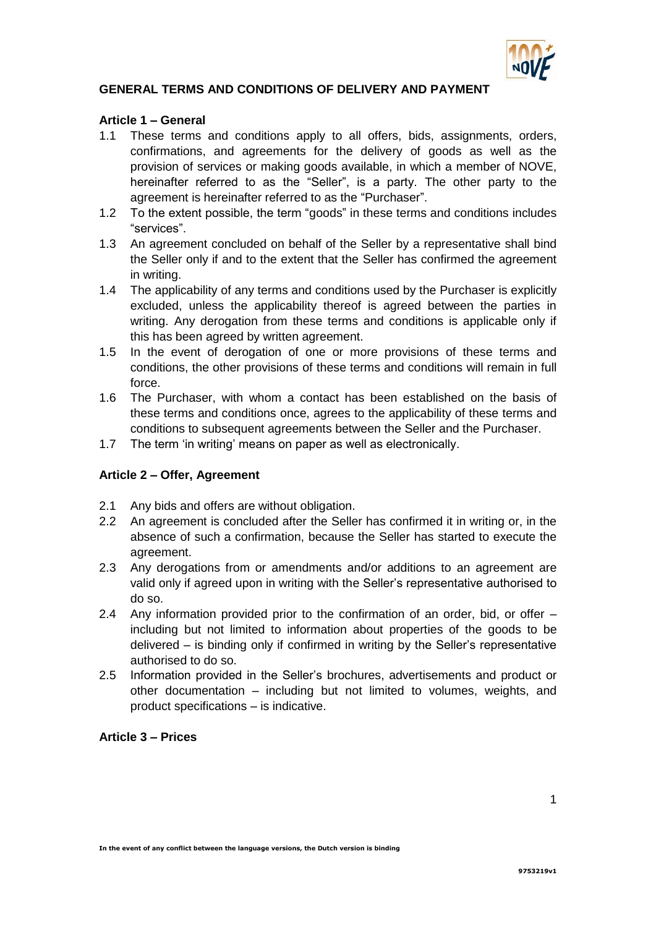

# **GENERAL TERMS AND CONDITIONS OF DELIVERY AND PAYMENT**

#### **Article 1 – General**

- 1.1 These terms and conditions apply to all offers, bids, assignments, orders, confirmations, and agreements for the delivery of goods as well as the provision of services or making goods available, in which a member of NOVE, hereinafter referred to as the "Seller", is a party. The other party to the agreement is hereinafter referred to as the "Purchaser".
- 1.2 To the extent possible, the term "goods" in these terms and conditions includes "services".
- 1.3 An agreement concluded on behalf of the Seller by a representative shall bind the Seller only if and to the extent that the Seller has confirmed the agreement in writing.
- 1.4 The applicability of any terms and conditions used by the Purchaser is explicitly excluded, unless the applicability thereof is agreed between the parties in writing. Any derogation from these terms and conditions is applicable only if this has been agreed by written agreement.
- 1.5 In the event of derogation of one or more provisions of these terms and conditions, the other provisions of these terms and conditions will remain in full force.
- 1.6 The Purchaser, with whom a contact has been established on the basis of these terms and conditions once, agrees to the applicability of these terms and conditions to subsequent agreements between the Seller and the Purchaser.
- 1.7 The term 'in writing' means on paper as well as electronically.

### **Article 2 – Offer, Agreement**

- 2.1 Any bids and offers are without obligation.
- 2.2 An agreement is concluded after the Seller has confirmed it in writing or, in the absence of such a confirmation, because the Seller has started to execute the agreement.
- 2.3 Any derogations from or amendments and/or additions to an agreement are valid only if agreed upon in writing with the Seller's representative authorised to do so.
- 2.4 Any information provided prior to the confirmation of an order, bid, or offer including but not limited to information about properties of the goods to be delivered – is binding only if confirmed in writing by the Seller's representative authorised to do so.
- 2.5 Information provided in the Seller's brochures, advertisements and product or other documentation – including but not limited to volumes, weights, and product specifications – is indicative.

#### **Article 3 – Prices**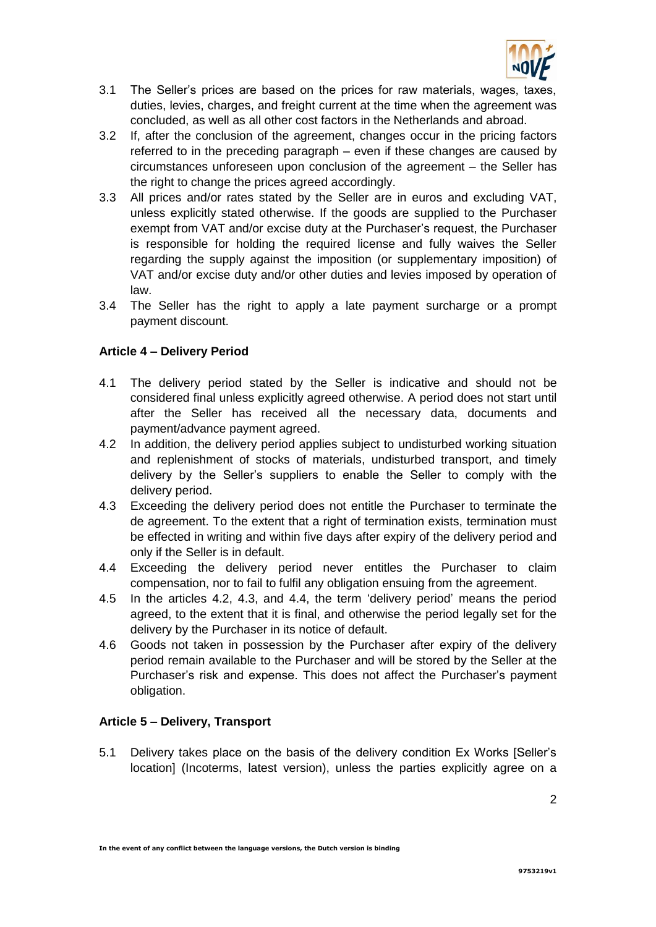

- 3.1 The Seller's prices are based on the prices for raw materials, wages, taxes, duties, levies, charges, and freight current at the time when the agreement was concluded, as well as all other cost factors in the Netherlands and abroad.
- 3.2 If, after the conclusion of the agreement, changes occur in the pricing factors referred to in the preceding paragraph – even if these changes are caused by circumstances unforeseen upon conclusion of the agreement – the Seller has the right to change the prices agreed accordingly.
- 3.3 All prices and/or rates stated by the Seller are in euros and excluding VAT, unless explicitly stated otherwise. If the goods are supplied to the Purchaser exempt from VAT and/or excise duty at the Purchaser's request, the Purchaser is responsible for holding the required license and fully waives the Seller regarding the supply against the imposition (or supplementary imposition) of VAT and/or excise duty and/or other duties and levies imposed by operation of law.
- 3.4 The Seller has the right to apply a late payment surcharge or a prompt payment discount.

## **Article 4 – Delivery Period**

- 4.1 The delivery period stated by the Seller is indicative and should not be considered final unless explicitly agreed otherwise. A period does not start until after the Seller has received all the necessary data, documents and payment/advance payment agreed.
- 4.2 In addition, the delivery period applies subject to undisturbed working situation and replenishment of stocks of materials, undisturbed transport, and timely delivery by the Seller's suppliers to enable the Seller to comply with the delivery period.
- 4.3 Exceeding the delivery period does not entitle the Purchaser to terminate the de agreement. To the extent that a right of termination exists, termination must be effected in writing and within five days after expiry of the delivery period and only if the Seller is in default.
- 4.4 Exceeding the delivery period never entitles the Purchaser to claim compensation, nor to fail to fulfil any obligation ensuing from the agreement.
- 4.5 In the articles 4.2, 4.3, and 4.4, the term 'delivery period' means the period agreed, to the extent that it is final, and otherwise the period legally set for the delivery by the Purchaser in its notice of default.
- 4.6 Goods not taken in possession by the Purchaser after expiry of the delivery period remain available to the Purchaser and will be stored by the Seller at the Purchaser's risk and expense. This does not affect the Purchaser's payment obligation.

### **Article 5 – Delivery, Transport**

5.1 Delivery takes place on the basis of the delivery condition Ex Works [Seller's location] (Incoterms, latest version), unless the parties explicitly agree on a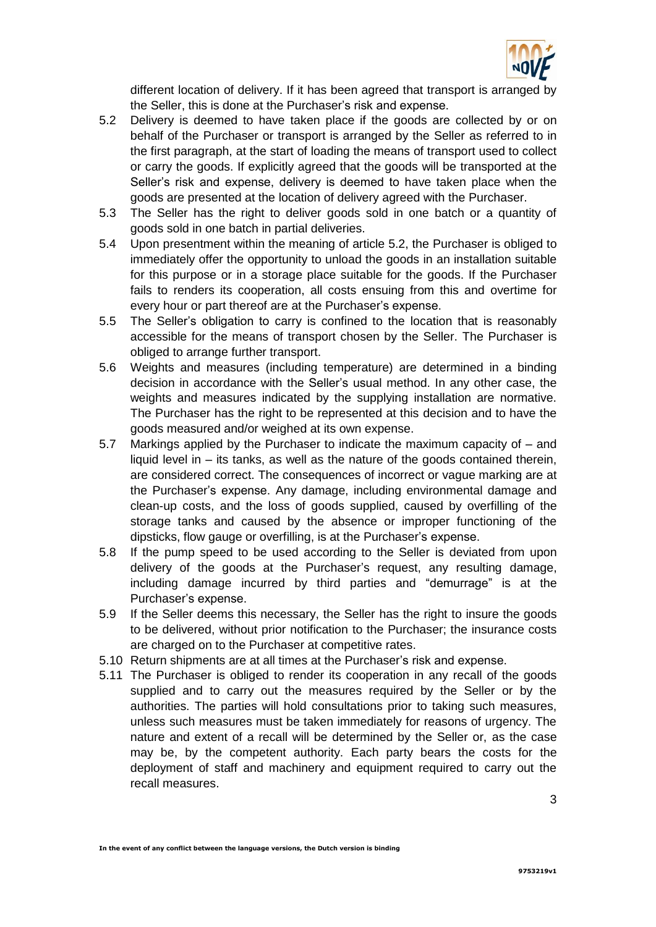

different location of delivery. If it has been agreed that transport is arranged by the Seller, this is done at the Purchaser's risk and expense.

- 5.2 Delivery is deemed to have taken place if the goods are collected by or on behalf of the Purchaser or transport is arranged by the Seller as referred to in the first paragraph, at the start of loading the means of transport used to collect or carry the goods. If explicitly agreed that the goods will be transported at the Seller's risk and expense, delivery is deemed to have taken place when the goods are presented at the location of delivery agreed with the Purchaser.
- 5.3 The Seller has the right to deliver goods sold in one batch or a quantity of goods sold in one batch in partial deliveries.
- 5.4 Upon presentment within the meaning of article 5.2, the Purchaser is obliged to immediately offer the opportunity to unload the goods in an installation suitable for this purpose or in a storage place suitable for the goods. If the Purchaser fails to renders its cooperation, all costs ensuing from this and overtime for every hour or part thereof are at the Purchaser's expense.
- 5.5 The Seller's obligation to carry is confined to the location that is reasonably accessible for the means of transport chosen by the Seller. The Purchaser is obliged to arrange further transport.
- 5.6 Weights and measures (including temperature) are determined in a binding decision in accordance with the Seller's usual method. In any other case, the weights and measures indicated by the supplying installation are normative. The Purchaser has the right to be represented at this decision and to have the goods measured and/or weighed at its own expense.
- 5.7 Markings applied by the Purchaser to indicate the maximum capacity of and liquid level in – its tanks, as well as the nature of the goods contained therein, are considered correct. The consequences of incorrect or vague marking are at the Purchaser's expense. Any damage, including environmental damage and clean-up costs, and the loss of goods supplied, caused by overfilling of the storage tanks and caused by the absence or improper functioning of the dipsticks, flow gauge or overfilling, is at the Purchaser's expense.
- 5.8 If the pump speed to be used according to the Seller is deviated from upon delivery of the goods at the Purchaser's request, any resulting damage, including damage incurred by third parties and "demurrage" is at the Purchaser's expense.
- 5.9 If the Seller deems this necessary, the Seller has the right to insure the goods to be delivered, without prior notification to the Purchaser; the insurance costs are charged on to the Purchaser at competitive rates.
- 5.10 Return shipments are at all times at the Purchaser's risk and expense.
- 5.11 The Purchaser is obliged to render its cooperation in any recall of the goods supplied and to carry out the measures required by the Seller or by the authorities. The parties will hold consultations prior to taking such measures, unless such measures must be taken immediately for reasons of urgency. The nature and extent of a recall will be determined by the Seller or, as the case may be, by the competent authority. Each party bears the costs for the deployment of staff and machinery and equipment required to carry out the recall measures.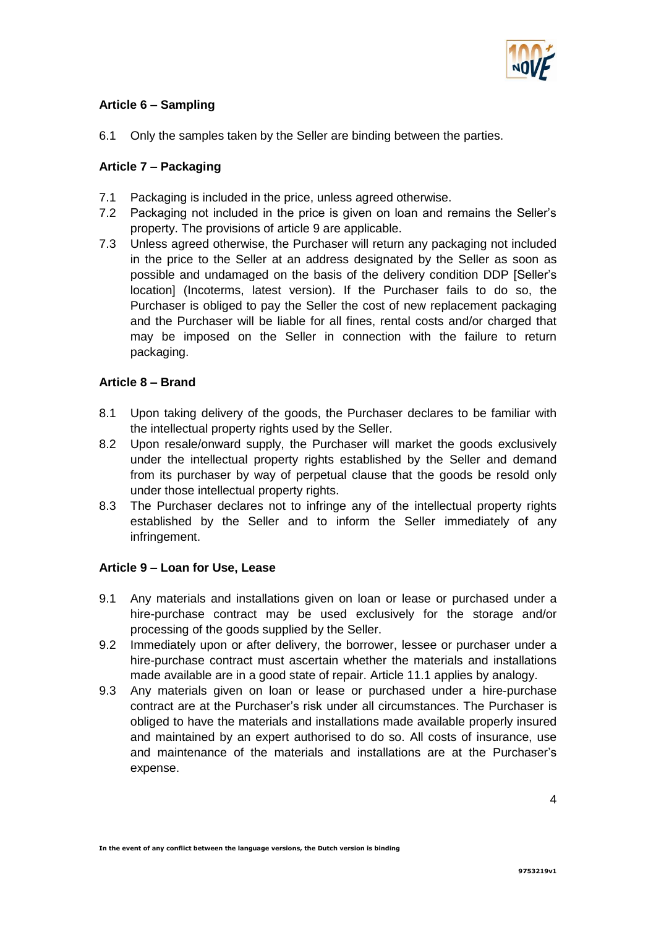

# **Article 6 – Sampling**

6.1 Only the samples taken by the Seller are binding between the parties.

# **Article 7 – Packaging**

- 7.1 Packaging is included in the price, unless agreed otherwise.
- 7.2 Packaging not included in the price is given on loan and remains the Seller's property. The provisions of article 9 are applicable.
- 7.3 Unless agreed otherwise, the Purchaser will return any packaging not included in the price to the Seller at an address designated by the Seller as soon as possible and undamaged on the basis of the delivery condition DDP [Seller's location] (Incoterms, latest version). If the Purchaser fails to do so, the Purchaser is obliged to pay the Seller the cost of new replacement packaging and the Purchaser will be liable for all fines, rental costs and/or charged that may be imposed on the Seller in connection with the failure to return packaging.

# **Article 8 – Brand**

- 8.1 Upon taking delivery of the goods, the Purchaser declares to be familiar with the intellectual property rights used by the Seller.
- 8.2 Upon resale/onward supply, the Purchaser will market the goods exclusively under the intellectual property rights established by the Seller and demand from its purchaser by way of perpetual clause that the goods be resold only under those intellectual property rights.
- 8.3 The Purchaser declares not to infringe any of the intellectual property rights established by the Seller and to inform the Seller immediately of any infringement.

### **Article 9 – Loan for Use, Lease**

- 9.1 Any materials and installations given on loan or lease or purchased under a hire-purchase contract may be used exclusively for the storage and/or processing of the goods supplied by the Seller.
- 9.2 Immediately upon or after delivery, the borrower, lessee or purchaser under a hire-purchase contract must ascertain whether the materials and installations made available are in a good state of repair. Article 11.1 applies by analogy.
- 9.3 Any materials given on loan or lease or purchased under a hire-purchase contract are at the Purchaser's risk under all circumstances. The Purchaser is obliged to have the materials and installations made available properly insured and maintained by an expert authorised to do so. All costs of insurance, use and maintenance of the materials and installations are at the Purchaser's expense.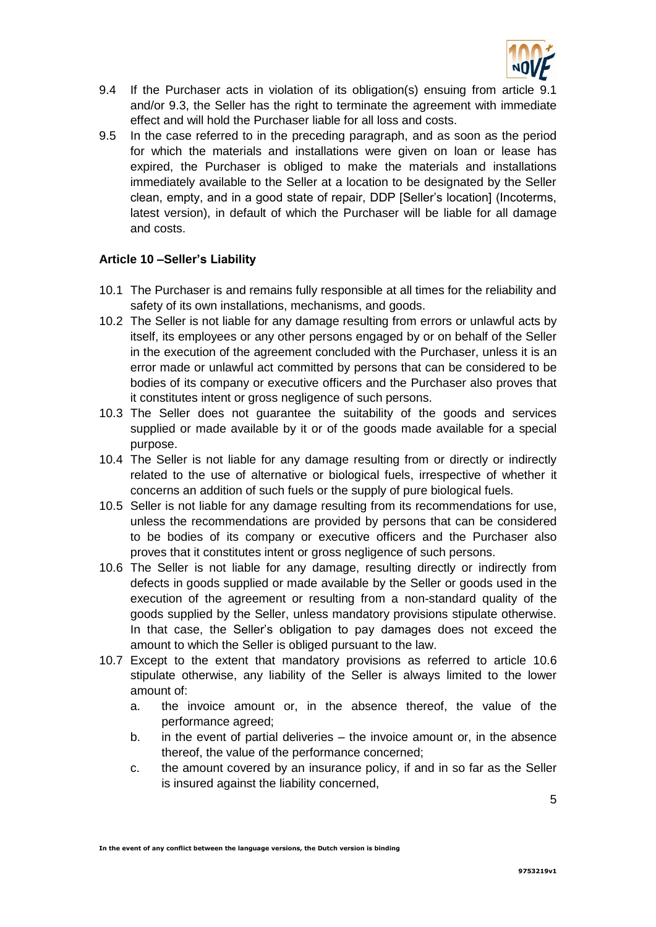

- 9.4 If the Purchaser acts in violation of its obligation(s) ensuing from article 9.1 and/or 9.3, the Seller has the right to terminate the agreement with immediate effect and will hold the Purchaser liable for all loss and costs.
- 9.5 In the case referred to in the preceding paragraph, and as soon as the period for which the materials and installations were given on loan or lease has expired, the Purchaser is obliged to make the materials and installations immediately available to the Seller at a location to be designated by the Seller clean, empty, and in a good state of repair, DDP [Seller's location] (Incoterms, latest version), in default of which the Purchaser will be liable for all damage and costs.

### **Article 10 –Seller's Liability**

- 10.1 The Purchaser is and remains fully responsible at all times for the reliability and safety of its own installations, mechanisms, and goods.
- 10.2 The Seller is not liable for any damage resulting from errors or unlawful acts by itself, its employees or any other persons engaged by or on behalf of the Seller in the execution of the agreement concluded with the Purchaser, unless it is an error made or unlawful act committed by persons that can be considered to be bodies of its company or executive officers and the Purchaser also proves that it constitutes intent or gross negligence of such persons.
- 10.3 The Seller does not guarantee the suitability of the goods and services supplied or made available by it or of the goods made available for a special purpose.
- 10.4 The Seller is not liable for any damage resulting from or directly or indirectly related to the use of alternative or biological fuels, irrespective of whether it concerns an addition of such fuels or the supply of pure biological fuels.
- 10.5 Seller is not liable for any damage resulting from its recommendations for use, unless the recommendations are provided by persons that can be considered to be bodies of its company or executive officers and the Purchaser also proves that it constitutes intent or gross negligence of such persons.
- 10.6 The Seller is not liable for any damage, resulting directly or indirectly from defects in goods supplied or made available by the Seller or goods used in the execution of the agreement or resulting from a non-standard quality of the goods supplied by the Seller, unless mandatory provisions stipulate otherwise. In that case, the Seller's obligation to pay damages does not exceed the amount to which the Seller is obliged pursuant to the law.
- 10.7 Except to the extent that mandatory provisions as referred to article 10.6 stipulate otherwise, any liability of the Seller is always limited to the lower amount of:
	- a. the invoice amount or, in the absence thereof, the value of the performance agreed;
	- b. in the event of partial deliveries the invoice amount or, in the absence thereof, the value of the performance concerned;
	- c. the amount covered by an insurance policy, if and in so far as the Seller is insured against the liability concerned,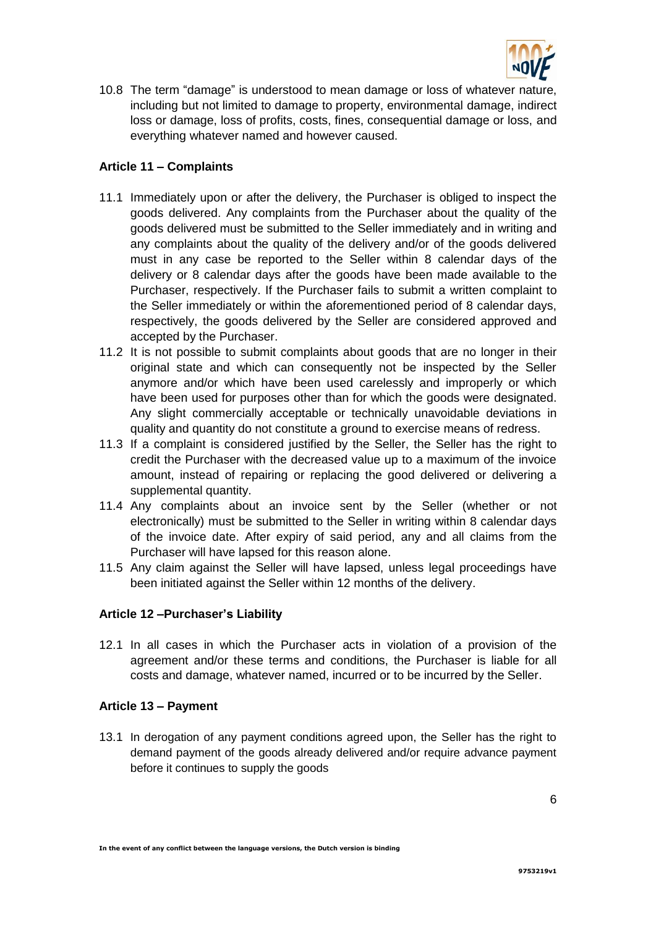

10.8 The term "damage" is understood to mean damage or loss of whatever nature, including but not limited to damage to property, environmental damage, indirect loss or damage, loss of profits, costs, fines, consequential damage or loss, and everything whatever named and however caused.

# **Article 11 – Complaints**

- 11.1 Immediately upon or after the delivery, the Purchaser is obliged to inspect the goods delivered. Any complaints from the Purchaser about the quality of the goods delivered must be submitted to the Seller immediately and in writing and any complaints about the quality of the delivery and/or of the goods delivered must in any case be reported to the Seller within 8 calendar days of the delivery or 8 calendar days after the goods have been made available to the Purchaser, respectively. If the Purchaser fails to submit a written complaint to the Seller immediately or within the aforementioned period of 8 calendar days, respectively, the goods delivered by the Seller are considered approved and accepted by the Purchaser.
- 11.2 It is not possible to submit complaints about goods that are no longer in their original state and which can consequently not be inspected by the Seller anymore and/or which have been used carelessly and improperly or which have been used for purposes other than for which the goods were designated. Any slight commercially acceptable or technically unavoidable deviations in quality and quantity do not constitute a ground to exercise means of redress.
- 11.3 If a complaint is considered justified by the Seller, the Seller has the right to credit the Purchaser with the decreased value up to a maximum of the invoice amount, instead of repairing or replacing the good delivered or delivering a supplemental quantity.
- 11.4 Any complaints about an invoice sent by the Seller (whether or not electronically) must be submitted to the Seller in writing within 8 calendar days of the invoice date. After expiry of said period, any and all claims from the Purchaser will have lapsed for this reason alone.
- 11.5 Any claim against the Seller will have lapsed, unless legal proceedings have been initiated against the Seller within 12 months of the delivery.

### **Article 12 –Purchaser's Liability**

12.1 In all cases in which the Purchaser acts in violation of a provision of the agreement and/or these terms and conditions, the Purchaser is liable for all costs and damage, whatever named, incurred or to be incurred by the Seller.

### **Article 13 – Payment**

13.1 In derogation of any payment conditions agreed upon, the Seller has the right to demand payment of the goods already delivered and/or require advance payment before it continues to supply the goods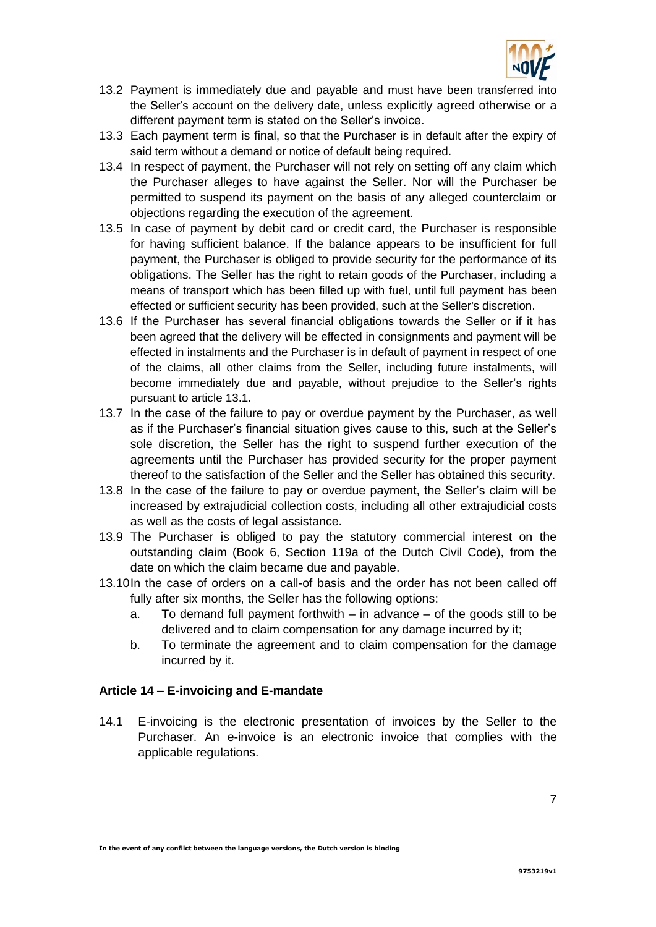

- 13.2 Payment is immediately due and payable and must have been transferred into the Seller's account on the delivery date, unless explicitly agreed otherwise or a different payment term is stated on the Seller's invoice.
- 13.3 Each payment term is final, so that the Purchaser is in default after the expiry of said term without a demand or notice of default being required.
- 13.4 In respect of payment, the Purchaser will not rely on setting off any claim which the Purchaser alleges to have against the Seller. Nor will the Purchaser be permitted to suspend its payment on the basis of any alleged counterclaim or objections regarding the execution of the agreement.
- 13.5 In case of payment by debit card or credit card, the Purchaser is responsible for having sufficient balance. If the balance appears to be insufficient for full payment, the Purchaser is obliged to provide security for the performance of its obligations. The Seller has the right to retain goods of the Purchaser, including a means of transport which has been filled up with fuel, until full payment has been effected or sufficient security has been provided, such at the Seller's discretion.
- 13.6 If the Purchaser has several financial obligations towards the Seller or if it has been agreed that the delivery will be effected in consignments and payment will be effected in instalments and the Purchaser is in default of payment in respect of one of the claims, all other claims from the Seller, including future instalments, will become immediately due and payable, without prejudice to the Seller's rights pursuant to article 13.1.
- 13.7 In the case of the failure to pay or overdue payment by the Purchaser, as well as if the Purchaser's financial situation gives cause to this, such at the Seller's sole discretion, the Seller has the right to suspend further execution of the agreements until the Purchaser has provided security for the proper payment thereof to the satisfaction of the Seller and the Seller has obtained this security.
- 13.8 In the case of the failure to pay or overdue payment, the Seller's claim will be increased by extrajudicial collection costs, including all other extrajudicial costs as well as the costs of legal assistance.
- 13.9 The Purchaser is obliged to pay the statutory commercial interest on the outstanding claim (Book 6, Section 119a of the Dutch Civil Code), from the date on which the claim became due and payable.
- 13.10In the case of orders on a call-of basis and the order has not been called off fully after six months, the Seller has the following options:
	- a. To demand full payment forthwith in advance of the goods still to be delivered and to claim compensation for any damage incurred by it;
	- b. To terminate the agreement and to claim compensation for the damage incurred by it.

### **Article 14 – E-invoicing and E-mandate**

14.1 E-invoicing is the electronic presentation of invoices by the Seller to the Purchaser. An e-invoice is an electronic invoice that complies with the applicable regulations.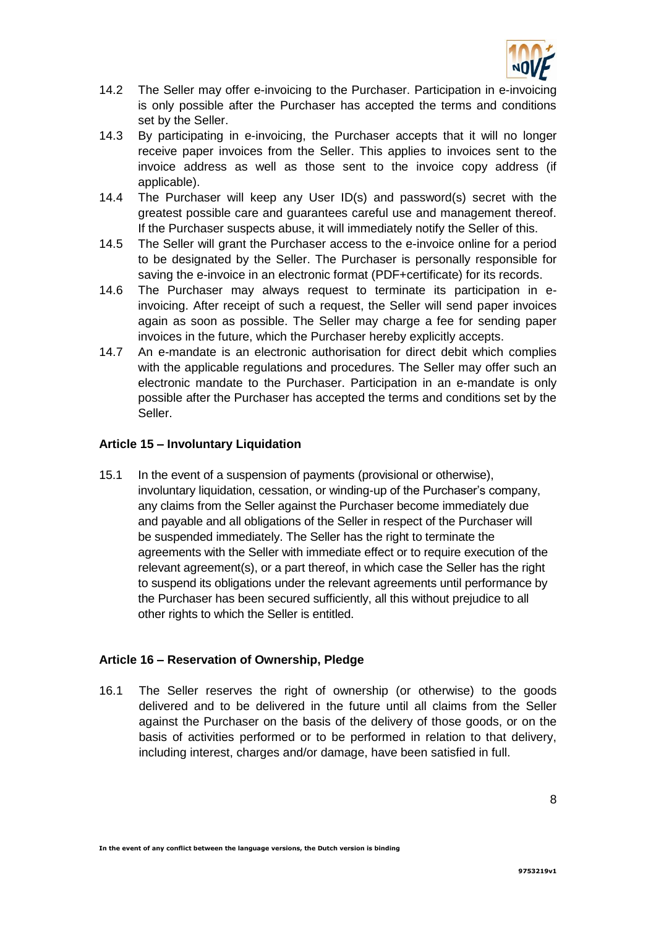

- 14.2 The Seller may offer e-invoicing to the Purchaser. Participation in e-invoicing is only possible after the Purchaser has accepted the terms and conditions set by the Seller.
- 14.3 By participating in e-invoicing, the Purchaser accepts that it will no longer receive paper invoices from the Seller. This applies to invoices sent to the invoice address as well as those sent to the invoice copy address (if applicable).
- 14.4 The Purchaser will keep any User ID(s) and password(s) secret with the greatest possible care and guarantees careful use and management thereof. If the Purchaser suspects abuse, it will immediately notify the Seller of this.
- 14.5 The Seller will grant the Purchaser access to the e-invoice online for a period to be designated by the Seller. The Purchaser is personally responsible for saving the e-invoice in an electronic format (PDF+certificate) for its records.
- 14.6 The Purchaser may always request to terminate its participation in einvoicing. After receipt of such a request, the Seller will send paper invoices again as soon as possible. The Seller may charge a fee for sending paper invoices in the future, which the Purchaser hereby explicitly accepts.
- 14.7 An e-mandate is an electronic authorisation for direct debit which complies with the applicable regulations and procedures. The Seller may offer such an electronic mandate to the Purchaser. Participation in an e-mandate is only possible after the Purchaser has accepted the terms and conditions set by the Seller.

### **Article 15 – Involuntary Liquidation**

15.1 In the event of a suspension of payments (provisional or otherwise), involuntary liquidation, cessation, or winding-up of the Purchaser's company, any claims from the Seller against the Purchaser become immediately due and payable and all obligations of the Seller in respect of the Purchaser will be suspended immediately. The Seller has the right to terminate the agreements with the Seller with immediate effect or to require execution of the relevant agreement(s), or a part thereof, in which case the Seller has the right to suspend its obligations under the relevant agreements until performance by the Purchaser has been secured sufficiently, all this without prejudice to all other rights to which the Seller is entitled.

### **Article 16 – Reservation of Ownership, Pledge**

16.1 The Seller reserves the right of ownership (or otherwise) to the goods delivered and to be delivered in the future until all claims from the Seller against the Purchaser on the basis of the delivery of those goods, or on the basis of activities performed or to be performed in relation to that delivery, including interest, charges and/or damage, have been satisfied in full.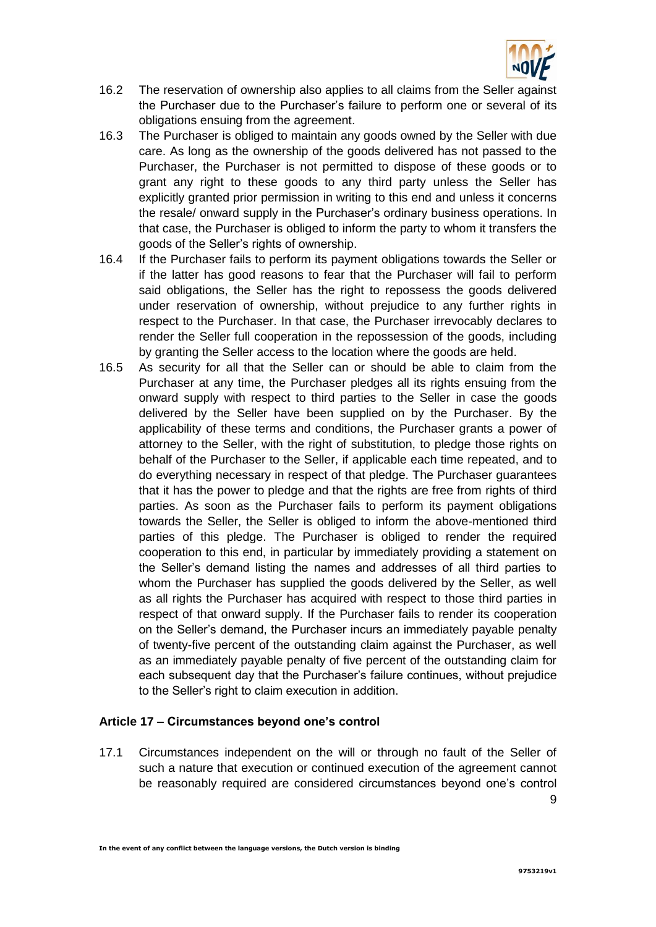

- 16.2 The reservation of ownership also applies to all claims from the Seller against the Purchaser due to the Purchaser's failure to perform one or several of its obligations ensuing from the agreement.
- 16.3 The Purchaser is obliged to maintain any goods owned by the Seller with due care. As long as the ownership of the goods delivered has not passed to the Purchaser, the Purchaser is not permitted to dispose of these goods or to grant any right to these goods to any third party unless the Seller has explicitly granted prior permission in writing to this end and unless it concerns the resale/ onward supply in the Purchaser's ordinary business operations. In that case, the Purchaser is obliged to inform the party to whom it transfers the goods of the Seller's rights of ownership.
- 16.4 If the Purchaser fails to perform its payment obligations towards the Seller or if the latter has good reasons to fear that the Purchaser will fail to perform said obligations, the Seller has the right to repossess the goods delivered under reservation of ownership, without prejudice to any further rights in respect to the Purchaser. In that case, the Purchaser irrevocably declares to render the Seller full cooperation in the repossession of the goods, including by granting the Seller access to the location where the goods are held.
- 16.5 As security for all that the Seller can or should be able to claim from the Purchaser at any time, the Purchaser pledges all its rights ensuing from the onward supply with respect to third parties to the Seller in case the goods delivered by the Seller have been supplied on by the Purchaser. By the applicability of these terms and conditions, the Purchaser grants a power of attorney to the Seller, with the right of substitution, to pledge those rights on behalf of the Purchaser to the Seller, if applicable each time repeated, and to do everything necessary in respect of that pledge. The Purchaser guarantees that it has the power to pledge and that the rights are free from rights of third parties. As soon as the Purchaser fails to perform its payment obligations towards the Seller, the Seller is obliged to inform the above-mentioned third parties of this pledge. The Purchaser is obliged to render the required cooperation to this end, in particular by immediately providing a statement on the Seller's demand listing the names and addresses of all third parties to whom the Purchaser has supplied the goods delivered by the Seller, as well as all rights the Purchaser has acquired with respect to those third parties in respect of that onward supply. If the Purchaser fails to render its cooperation on the Seller's demand, the Purchaser incurs an immediately payable penalty of twenty-five percent of the outstanding claim against the Purchaser, as well as an immediately payable penalty of five percent of the outstanding claim for each subsequent day that the Purchaser's failure continues, without prejudice to the Seller's right to claim execution in addition.

### **Article 17 – Circumstances beyond one's control**

17.1 Circumstances independent on the will or through no fault of the Seller of such a nature that execution or continued execution of the agreement cannot be reasonably required are considered circumstances beyond one's control

9

**In the event of any conflict between the language versions, the Dutch version is binding**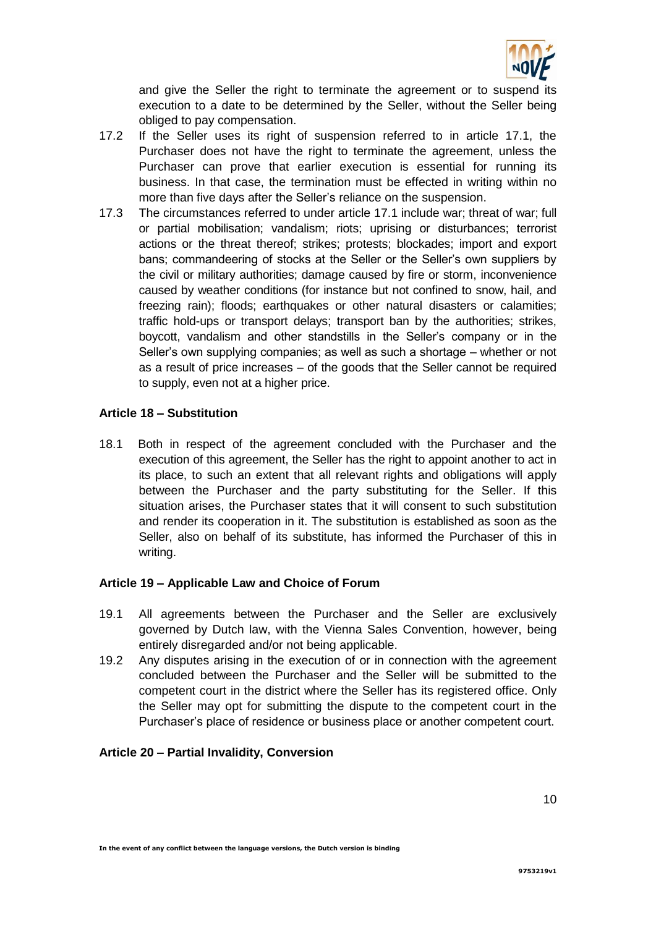

and give the Seller the right to terminate the agreement or to suspend its execution to a date to be determined by the Seller, without the Seller being obliged to pay compensation.

- 17.2 If the Seller uses its right of suspension referred to in article 17.1, the Purchaser does not have the right to terminate the agreement, unless the Purchaser can prove that earlier execution is essential for running its business. In that case, the termination must be effected in writing within no more than five days after the Seller's reliance on the suspension.
- 17.3 The circumstances referred to under article 17.1 include war; threat of war; full or partial mobilisation; vandalism; riots; uprising or disturbances; terrorist actions or the threat thereof; strikes; protests; blockades; import and export bans; commandeering of stocks at the Seller or the Seller's own suppliers by the civil or military authorities; damage caused by fire or storm, inconvenience caused by weather conditions (for instance but not confined to snow, hail, and freezing rain); floods; earthquakes or other natural disasters or calamities; traffic hold-ups or transport delays; transport ban by the authorities; strikes, boycott, vandalism and other standstills in the Seller's company or in the Seller's own supplying companies; as well as such a shortage – whether or not as a result of price increases – of the goods that the Seller cannot be required to supply, even not at a higher price.

### **Article 18 – Substitution**

18.1 Both in respect of the agreement concluded with the Purchaser and the execution of this agreement, the Seller has the right to appoint another to act in its place, to such an extent that all relevant rights and obligations will apply between the Purchaser and the party substituting for the Seller. If this situation arises, the Purchaser states that it will consent to such substitution and render its cooperation in it. The substitution is established as soon as the Seller, also on behalf of its substitute, has informed the Purchaser of this in writing.

### **Article 19 – Applicable Law and Choice of Forum**

- 19.1 All agreements between the Purchaser and the Seller are exclusively governed by Dutch law, with the Vienna Sales Convention, however, being entirely disregarded and/or not being applicable.
- 19.2 Any disputes arising in the execution of or in connection with the agreement concluded between the Purchaser and the Seller will be submitted to the competent court in the district where the Seller has its registered office. Only the Seller may opt for submitting the dispute to the competent court in the Purchaser's place of residence or business place or another competent court.

#### **Article 20 – Partial Invalidity, Conversion**